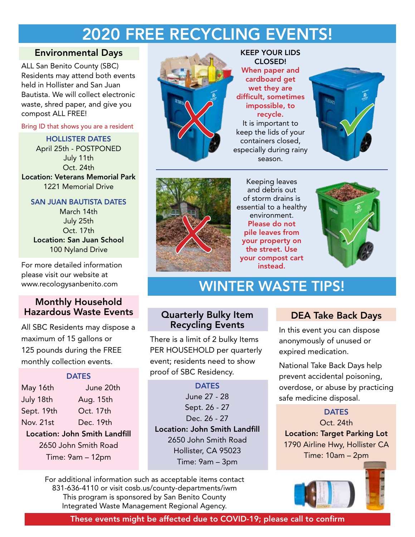## 2020 FREE RECYCLING EVENTS!

### Environmental Days

ALL San Benito County (SBC) Residents may attend both events held in Hollister and San Juan Bautista. We will collect electronic waste, shred paper, and give you compost ALL FREE!

Bring ID that shows you are a resident

HOLLISTER DATES April 25th - POSTPONED July 11th Oct. 24th Location: Veterans Memorial Park 1221 Memorial Drive

### SAN JUAN BAUTISTA DATES

March 14th July 25th Oct. 17th Location: San Juan School 100 Nyland Drive

For more detailed information please visit our website at www.recologysanbenito.com

### Monthly Household Hazardous Waste Events

All SBC Residents may dispose a maximum of 15 gallons or 125 pounds during the FREE monthly collection events.

#### **DATES**

May 16th June 20th July 18th Aug. 15th Sept. 19th Oct. 17th Nov. 21st Dec. 19th Location: John Smith Landfill

# 2650 John Smith Road

Time: 9am – 12pm



KEEP YOUR LIDS CLOSED! When paper and cardboard get wet they are difficult, sometimes impossible, to recycle. It is important to keep the lids of your containers closed, especially during rainy

season.





Keeping leaves and debris out of storm drains is essential to a healthy environment. Please do not pile leaves from your property on the street. Use your compost cart instead. environment.<br>
Please do not<br>
pile leaves from<br>
your property on<br>
the street. Use<br>
your compost cart<br>
instead



### WINTER WASTE TIPS!

### Quarterly Bulky Item Recycling Events

There is a limit of 2 bulky Items PER HOUSEHOLD per quarterly event; residents need to show proof of SBC Residency.

**DATES** June 27 - 28 Sept. 26 - 27 Dec. 26 - 27 Location: John Smith Landfill 2650 John Smith Road Hollister, CA 95023 Time: 9am – 3pm

For additional information such as acceptable items contact 831-636-4110 or visit cosb.us/county-departments/iwm This program is sponsored by San Benito County Integrated Waste Management Regional Agency.

### DEA Take Back Days

In this event you can dispose anonymously of unused or expired medication.

National Take Back Days help prevent accidental poisoning, overdose, or abuse by practicing safe medicine disposal.

#### **DATES**

Oct. 24th Location: Target Parking Lot 1790 Airline Hwy, Hollister CA Time: 10am – 2pm



These events might be affected due to COVID-19; please call to confirm